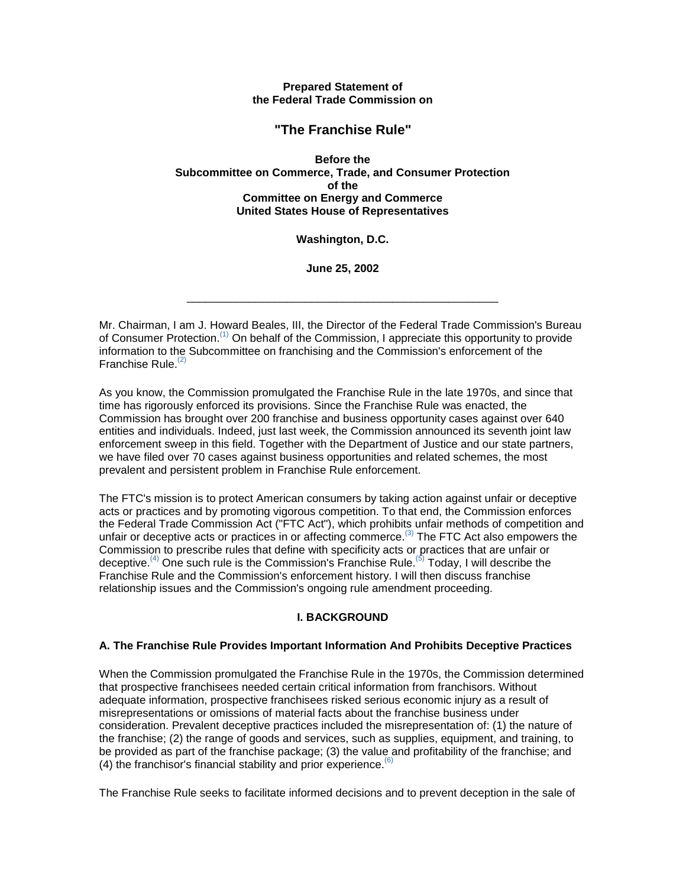**Prepared Statement of the Federal Trade Commission on**

# **"The Franchise Rule"**

**Before the Subcommittee on Commerce, Trade, and Consumer Protection of the Committee on Energy and Commerce United States House of Representatives**

**Washington, D.C.**

**June 25, 2002**

\_\_\_\_\_\_\_\_\_\_\_\_\_\_\_\_\_\_\_\_\_\_\_\_\_\_\_\_\_\_\_\_\_\_\_\_\_\_\_\_\_\_\_\_\_\_\_\_\_\_

Mr. Chairman, I am J. Howard Beales, III, the Director of the Federal Trade Commission's Bureau of Consumer Protection.(1) On behalf of the Commission, I appreciate this opportunity to provide information to the Subcommittee on franchising and the Commission's enforcement of the Franchise Rule.<sup>(2)</sup>

As you know, the Commission promulgated the Franchise Rule in the late 1970s, and since that time has rigorously enforced its provisions. Since the Franchise Rule was enacted, the Commission has brought over 200 franchise and business opportunity cases against over 640 entities and individuals. Indeed, just last week, the Commission announced its seventh joint law enforcement sweep in this field. Together with the Department of Justice and our state partners, we have filed over 70 cases against business opportunities and related schemes, the most prevalent and persistent problem in Franchise Rule enforcement.

The FTC's mission is to protect American consumers by taking action against unfair or deceptive acts or practices and by promoting vigorous competition. To that end, the Commission enforces the Federal Trade Commission Act ("FTC Act"), which prohibits unfair methods of competition and unfair or deceptive acts or practices in or affecting commerce.<sup>(3)</sup> The FTC Act also empowers the Commission to prescribe rules that define with specificity acts or practices that are unfair or deceptive.<sup>(4)</sup> One such rule is the Commission's Franchise Rule.<sup>(5)</sup> Today, I will describe the Franchise Rule and the Commission's enforcement history. I will then discuss franchise relationship issues and the Commission's ongoing rule amendment proceeding.

# **I. BACKGROUND**

## **A. The Franchise Rule Provides Important Information And Prohibits Deceptive Practices**

When the Commission promulgated the Franchise Rule in the 1970s, the Commission determined that prospective franchisees needed certain critical information from franchisors. Without adequate information, prospective franchisees risked serious economic injury as a result of misrepresentations or omissions of material facts about the franchise business under consideration. Prevalent deceptive practices included the misrepresentation of: (1) the nature of the franchise; (2) the range of goods and services, such as supplies, equipment, and training, to be provided as part of the franchise package; (3) the value and profitability of the franchise; and (4) the franchisor's financial stability and prior experience.  $(6)$ 

The Franchise Rule seeks to facilitate informed decisions and to prevent deception in the sale of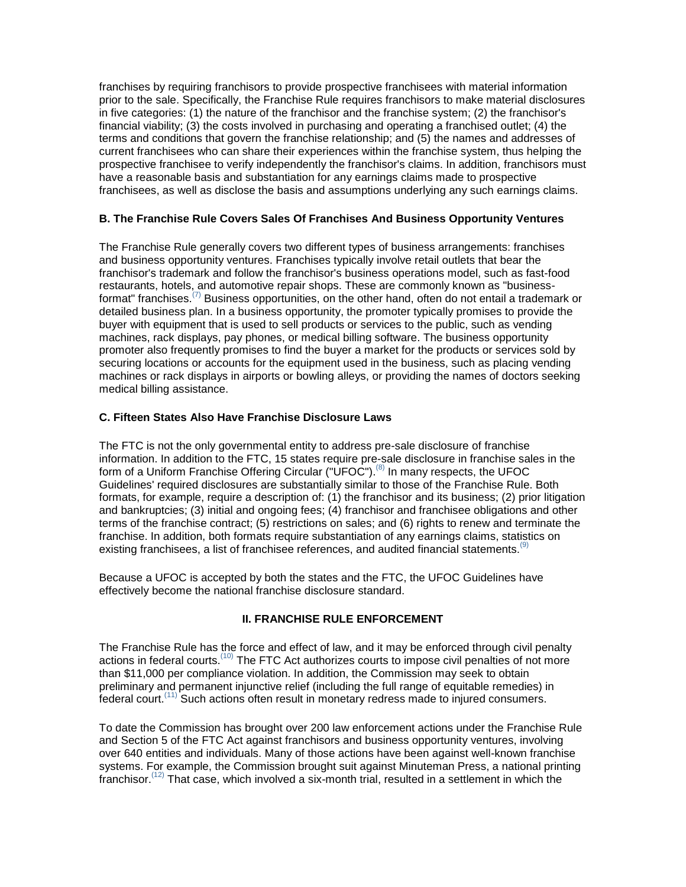franchises by requiring franchisors to provide prospective franchisees with material information prior to the sale. Specifically, the Franchise Rule requires franchisors to make material disclosures in five categories: (1) the nature of the franchisor and the franchise system; (2) the franchisor's financial viability; (3) the costs involved in purchasing and operating a franchised outlet; (4) the terms and conditions that govern the franchise relationship; and (5) the names and addresses of current franchisees who can share their experiences within the franchise system, thus helping the prospective franchisee to verify independently the franchisor's claims. In addition, franchisors must have a reasonable basis and substantiation for any earnings claims made to prospective franchisees, as well as disclose the basis and assumptions underlying any such earnings claims.

## **B. The Franchise Rule Covers Sales Of Franchises And Business Opportunity Ventures**

The Franchise Rule generally covers two different types of business arrangements: franchises and business opportunity ventures. Franchises typically involve retail outlets that bear the franchisor's trademark and follow the franchisor's business operations model, such as fast-food restaurants, hotels, and automotive repair shops. These are commonly known as "businessformat" franchises.<sup>(7)</sup> Business opportunities, on the other hand, often do not entail a trademark or detailed business plan. In a business opportunity, the promoter typically promises to provide the buyer with equipment that is used to sell products or services to the public, such as vending machines, rack displays, pay phones, or medical billing software. The business opportunity promoter also frequently promises to find the buyer a market for the products or services sold by securing locations or accounts for the equipment used in the business, such as placing vending machines or rack displays in airports or bowling alleys, or providing the names of doctors seeking medical billing assistance.

## **C. Fifteen States Also Have Franchise Disclosure Laws**

The FTC is not the only governmental entity to address pre-sale disclosure of franchise information. In addition to the FTC, 15 states require pre-sale disclosure in franchise sales in the form of a Uniform Franchise Offering Circular ("UFOC").<sup>(8)</sup> In many respects, the UFOC Guidelines' required disclosures are substantially similar to those of the Franchise Rule. Both formats, for example, require a description of: (1) the franchisor and its business; (2) prior litigation and bankruptcies; (3) initial and ongoing fees; (4) franchisor and franchisee obligations and other terms of the franchise contract; (5) restrictions on sales; and (6) rights to renew and terminate the franchise. In addition, both formats require substantiation of any earnings claims, statistics on existing franchisees, a list of franchisee references, and audited financial statements.<sup>(9)</sup>

Because a UFOC is accepted by both the states and the FTC, the UFOC Guidelines have effectively become the national franchise disclosure standard.

# **II. FRANCHISE RULE ENFORCEMENT**

The Franchise Rule has the force and effect of law, and it may be enforced through civil penalty actions in federal courts.<sup>(10)</sup> The FTC Act authorizes courts to impose civil penalties of not more than \$11,000 per compliance violation. In addition, the Commission may seek to obtain preliminary and permanent injunctive relief (including the full range of equitable remedies) in federal court.(11) Such actions often result in monetary redress made to injured consumers.

To date the Commission has brought over 200 law enforcement actions under the Franchise Rule and Section 5 of the FTC Act against franchisors and business opportunity ventures, involving over 640 entities and individuals. Many of those actions have been against well-known franchise systems. For example, the Commission brought suit against Minuteman Press, a national printing franchisor.<sup> $(12)$ </sup> That case, which involved a six-month trial, resulted in a settlement in which the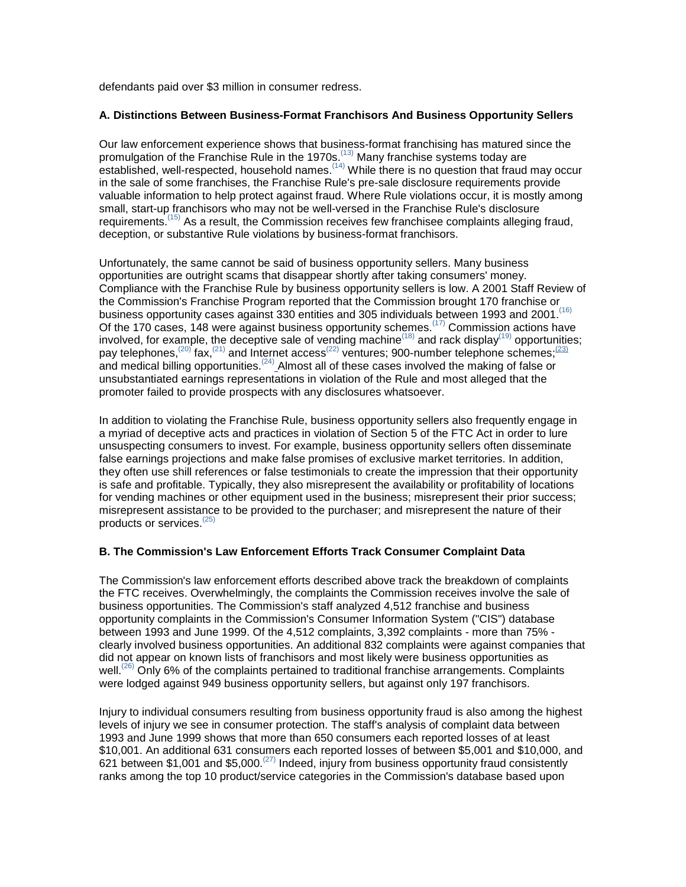defendants paid over \$3 million in consumer redress.

## **A. Distinctions Between Business-Format Franchisors And Business Opportunity Sellers**

Our law enforcement experience shows that business-format franchising has matured since the promulgation of the Franchise Rule in the 1970s.<sup>(13)</sup> Many franchise systems today are established, well-respected, household names.(14) While there is no question that fraud may occur in the sale of some franchises, the Franchise Rule's pre-sale disclosure requirements provide valuable information to help protect against fraud. Where Rule violations occur, it is mostly among small, start-up franchisors who may not be well-versed in the Franchise Rule's disclosure requirements.<sup> $(15)$ </sup> As a result, the Commission receives few franchisee complaints alleging fraud, deception, or substantive Rule violations by business-format franchisors.

Unfortunately, the same cannot be said of business opportunity sellers. Many business opportunities are outright scams that disappear shortly after taking consumers' money. Compliance with the Franchise Rule by business opportunity sellers is low. A 2001 Staff Review of the Commission's Franchise Program reported that the Commission brought 170 franchise or business opportunity cases against 330 entities and 305 individuals between 1993 and 2001.<sup>(16)</sup> Of the 170 cases, 148 were against business opportunity schemes.<sup> $(17)$ </sup> Commission actions have involved, for example, the deceptive sale of vending machine<sup>(18)</sup> and rack display<sup>(19)</sup> opportunities; pay telephones,<sup>(20)</sup> fax,<sup>(21)</sup> and Internet access<sup>(22)</sup> ventures; 900-number telephone schemes;  $\frac{(23)}{2}$ and medical billing opportunities.<sup>(24)</sup> Almost all of these cases involved the making of false or unsubstantiated earnings representations in violation of the Rule and most alleged that the promoter failed to provide prospects with any disclosures whatsoever.

In addition to violating the Franchise Rule, business opportunity sellers also frequently engage in a myriad of deceptive acts and practices in violation of Section 5 of the FTC Act in order to lure unsuspecting consumers to invest. For example, business opportunity sellers often disseminate false earnings projections and make false promises of exclusive market territories. In addition, they often use shill references or false testimonials to create the impression that their opportunity is safe and profitable. Typically, they also misrepresent the availability or profitability of locations for vending machines or other equipment used in the business; misrepresent their prior success; misrepresent assistance to be provided to the purchaser; and misrepresent the nature of their products or services.(25)

# **B. The Commission's Law Enforcement Efforts Track Consumer Complaint Data**

The Commission's law enforcement efforts described above track the breakdown of complaints the FTC receives. Overwhelmingly, the complaints the Commission receives involve the sale of business opportunities. The Commission's staff analyzed 4,512 franchise and business opportunity complaints in the Commission's Consumer Information System ("CIS") database between 1993 and June 1999. Of the 4,512 complaints, 3,392 complaints - more than 75% clearly involved business opportunities. An additional 832 complaints were against companies that did not appear on known lists of franchisors and most likely were business opportunities as well.<sup>(26)</sup> Only 6% of the complaints pertained to traditional franchise arrangements. Complaints were lodged against 949 business opportunity sellers, but against only 197 franchisors.

Injury to individual consumers resulting from business opportunity fraud is also among the highest levels of injury we see in consumer protection. The staff's analysis of complaint data between 1993 and June 1999 shows that more than 650 consumers each reported losses of at least \$10,001. An additional 631 consumers each reported losses of between \$5,001 and \$10,000, and 621 between \$1,001 and \$5,000.(27) Indeed, injury from business opportunity fraud consistently ranks among the top 10 product/service categories in the Commission's database based upon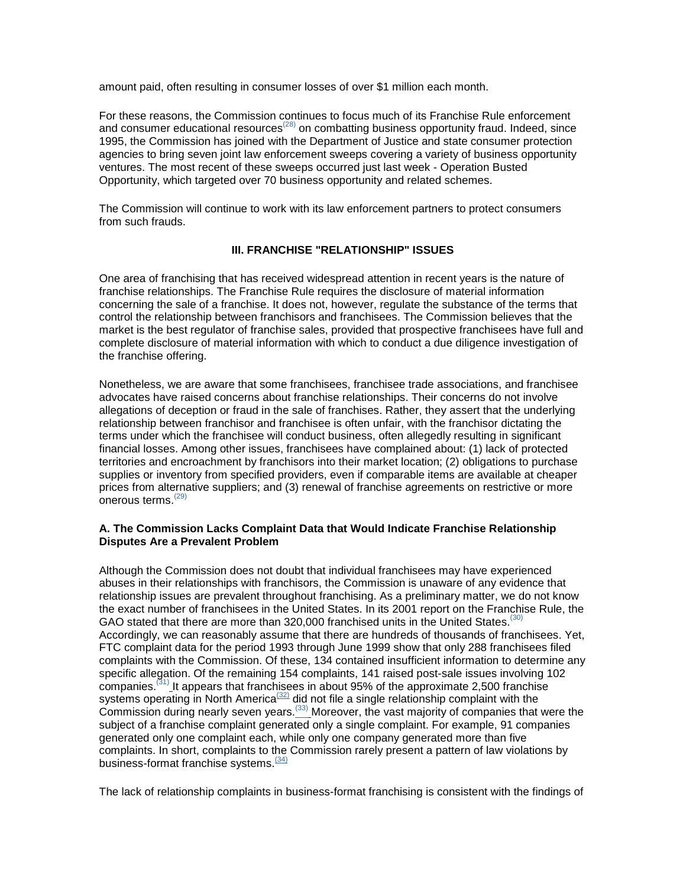amount paid, often resulting in consumer losses of over \$1 million each month.

For these reasons, the Commission continues to focus much of its Franchise Rule enforcement and consumer educational resources<sup> $(28)$ </sup> on combatting business opportunity fraud. Indeed, since 1995, the Commission has joined with the Department of Justice and state consumer protection agencies to bring seven joint law enforcement sweeps covering a variety of business opportunity ventures. The most recent of these sweeps occurred just last week - Operation Busted Opportunity, which targeted over 70 business opportunity and related schemes.

The Commission will continue to work with its law enforcement partners to protect consumers from such frauds.

## **III. FRANCHISE "RELATIONSHIP" ISSUES**

One area of franchising that has received widespread attention in recent years is the nature of franchise relationships. The Franchise Rule requires the disclosure of material information concerning the sale of a franchise. It does not, however, regulate the substance of the terms that control the relationship between franchisors and franchisees. The Commission believes that the market is the best regulator of franchise sales, provided that prospective franchisees have full and complete disclosure of material information with which to conduct a due diligence investigation of the franchise offering.

Nonetheless, we are aware that some franchisees, franchisee trade associations, and franchisee advocates have raised concerns about franchise relationships. Their concerns do not involve allegations of deception or fraud in the sale of franchises. Rather, they assert that the underlying relationship between franchisor and franchisee is often unfair, with the franchisor dictating the terms under which the franchisee will conduct business, often allegedly resulting in significant financial losses. Among other issues, franchisees have complained about: (1) lack of protected territories and encroachment by franchisors into their market location; (2) obligations to purchase supplies or inventory from specified providers, even if comparable items are available at cheaper prices from alternative suppliers; and (3) renewal of franchise agreements on restrictive or more onerous terms. $(29)$ 

## **A. The Commission Lacks Complaint Data that Would Indicate Franchise Relationship Disputes Are a Prevalent Problem**

Although the Commission does not doubt that individual franchisees may have experienced abuses in their relationships with franchisors, the Commission is unaware of any evidence that relationship issues are prevalent throughout franchising. As a preliminary matter, we do not know the exact number of franchisees in the United States. In its 2001 report on the Franchise Rule, the GAO stated that there are more than 320,000 franchised units in the United States.<sup>(3</sup>) Accordingly, we can reasonably assume that there are hundreds of thousands of franchisees. Yet, FTC complaint data for the period 1993 through June 1999 show that only 288 franchisees filed complaints with the Commission. Of these, 134 contained insufficient information to determine any specific allegation. Of the remaining 154 complaints, 141 raised post-sale issues involving 102 companies.<sup>(31)</sup> It appears that franchisees in about 95% of the approximate 2,500 franchise systems operating in North America<sup>(32)</sup> did not file a single relationship complaint with the  $\sim$  Commission during nearly seven years.<sup>(33)</sup> Moreover, the vast majority of companies that were the subject of a franchise complaint generated only a single complaint. For example, 91 companies generated only one complaint each, while only one company generated more than five complaints. In short, complaints to the Commission rarely present a pattern of law violations by business-format franchise systems.<sup>(34)</sup>

The lack of relationship complaints in business-format franchising is consistent with the findings of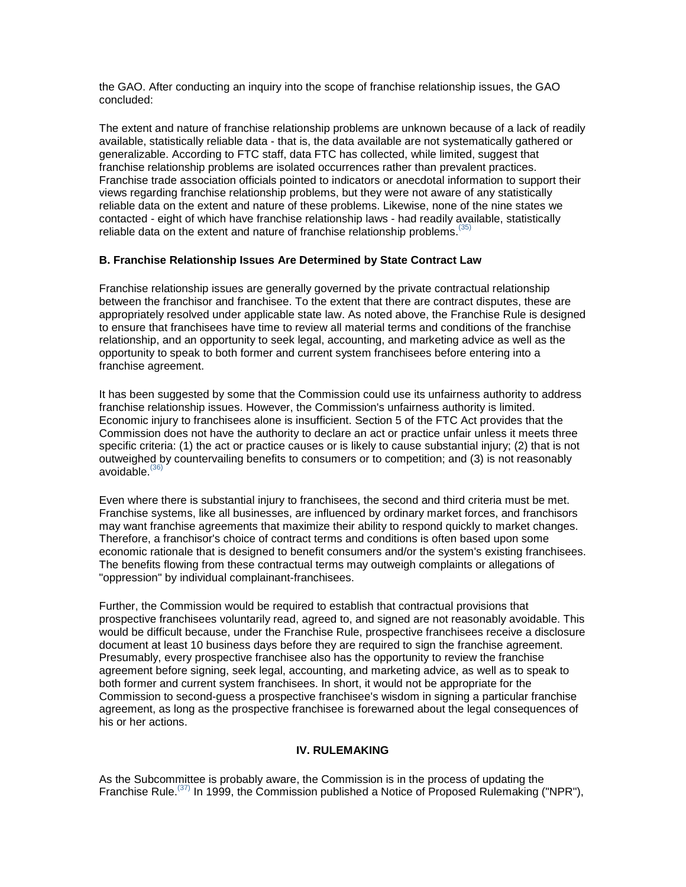the GAO. After conducting an inquiry into the scope of franchise relationship issues, the GAO concluded:

The extent and nature of franchise relationship problems are unknown because of a lack of readily available, statistically reliable data - that is, the data available are not systematically gathered or generalizable. According to FTC staff, data FTC has collected, while limited, suggest that franchise relationship problems are isolated occurrences rather than prevalent practices. Franchise trade association officials pointed to indicators or anecdotal information to support their views regarding franchise relationship problems, but they were not aware of any statistically reliable data on the extent and nature of these problems. Likewise, none of the nine states we contacted - eight of which have franchise relationship laws - had readily available, statistically reliable data on the extent and nature of franchise relationship problems.  $(35)$ 

## **B. Franchise Relationship Issues Are Determined by State Contract Law**

Franchise relationship issues are generally governed by the private contractual relationship between the franchisor and franchisee. To the extent that there are contract disputes, these are appropriately resolved under applicable state law. As noted above, the Franchise Rule is designed to ensure that franchisees have time to review all material terms and conditions of the franchise relationship, and an opportunity to seek legal, accounting, and marketing advice as well as the opportunity to speak to both former and current system franchisees before entering into a franchise agreement.

It has been suggested by some that the Commission could use its unfairness authority to address franchise relationship issues. However, the Commission's unfairness authority is limited. Economic injury to franchisees alone is insufficient. Section 5 of the FTC Act provides that the Commission does not have the authority to declare an act or practice unfair unless it meets three specific criteria: (1) the act or practice causes or is likely to cause substantial injury; (2) that is not outweighed by countervailing benefits to consumers or to competition; and (3) is not reasonably avoidable. $(36)$ 

Even where there is substantial injury to franchisees, the second and third criteria must be met. Franchise systems, like all businesses, are influenced by ordinary market forces, and franchisors may want franchise agreements that maximize their ability to respond quickly to market changes. Therefore, a franchisor's choice of contract terms and conditions is often based upon some economic rationale that is designed to benefit consumers and/or the system's existing franchisees. The benefits flowing from these contractual terms may outweigh complaints or allegations of "oppression" by individual complainant-franchisees.

Further, the Commission would be required to establish that contractual provisions that prospective franchisees voluntarily read, agreed to, and signed are not reasonably avoidable. This would be difficult because, under the Franchise Rule, prospective franchisees receive a disclosure document at least 10 business days before they are required to sign the franchise agreement. Presumably, every prospective franchisee also has the opportunity to review the franchise agreement before signing, seek legal, accounting, and marketing advice, as well as to speak to both former and current system franchisees. In short, it would not be appropriate for the Commission to second-guess a prospective franchisee's wisdom in signing a particular franchise agreement, as long as the prospective franchisee is forewarned about the legal consequences of his or her actions.

## **IV. RULEMAKING**

As the Subcommittee is probably aware, the Commission is in the process of updating the Franchise Rule.<sup>(37)</sup> In 1999, the Commission published a Notice of Proposed Rulemaking ("NPR"),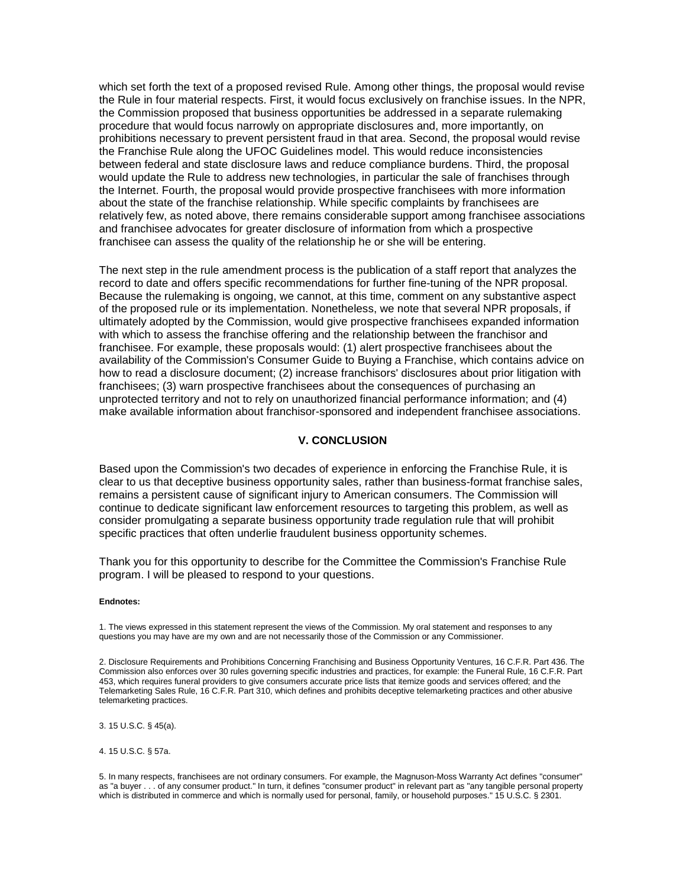which set forth the text of a proposed revised Rule. Among other things, the proposal would revise the Rule in four material respects. First, it would focus exclusively on franchise issues. In the NPR, the Commission proposed that business opportunities be addressed in a separate rulemaking procedure that would focus narrowly on appropriate disclosures and, more importantly, on prohibitions necessary to prevent persistent fraud in that area. Second, the proposal would revise the Franchise Rule along the UFOC Guidelines model. This would reduce inconsistencies between federal and state disclosure laws and reduce compliance burdens. Third, the proposal would update the Rule to address new technologies, in particular the sale of franchises through the Internet. Fourth, the proposal would provide prospective franchisees with more information about the state of the franchise relationship. While specific complaints by franchisees are relatively few, as noted above, there remains considerable support among franchisee associations and franchisee advocates for greater disclosure of information from which a prospective franchisee can assess the quality of the relationship he or she will be entering.

The next step in the rule amendment process is the publication of a staff report that analyzes the record to date and offers specific recommendations for further fine-tuning of the NPR proposal. Because the rulemaking is ongoing, we cannot, at this time, comment on any substantive aspect of the proposed rule or its implementation. Nonetheless, we note that several NPR proposals, if ultimately adopted by the Commission, would give prospective franchisees expanded information with which to assess the franchise offering and the relationship between the franchisor and franchisee. For example, these proposals would: (1) alert prospective franchisees about the availability of the Commission's Consumer Guide to Buying a Franchise, which contains advice on how to read a disclosure document; (2) increase franchisors' disclosures about prior litigation with franchisees; (3) warn prospective franchisees about the consequences of purchasing an unprotected territory and not to rely on unauthorized financial performance information; and (4) make available information about franchisor-sponsored and independent franchisee associations.

#### **V. CONCLUSION**

Based upon the Commission's two decades of experience in enforcing the Franchise Rule, it is clear to us that deceptive business opportunity sales, rather than business-format franchise sales, remains a persistent cause of significant injury to American consumers. The Commission will continue to dedicate significant law enforcement resources to targeting this problem, as well as consider promulgating a separate business opportunity trade regulation rule that will prohibit specific practices that often underlie fraudulent business opportunity schemes.

Thank you for this opportunity to describe for the Committee the Commission's Franchise Rule program. I will be pleased to respond to your questions.

#### **Endnotes:**

1. The views expressed in this statement represent the views of the Commission. My oral statement and responses to any questions you may have are my own and are not necessarily those of the Commission or any Commissioner.

2. Disclosure Requirements and Prohibitions Concerning Franchising and Business Opportunity Ventures, 16 C.F.R. Part 436. The Commission also enforces over 30 rules governing specific industries and practices, for example: the Funeral Rule, 16 C.F.R. Part 453, which requires funeral providers to give consumers accurate price lists that itemize goods and services offered; and the Telemarketing Sales Rule, 16 C.F.R. Part 310, which defines and prohibits deceptive telemarketing practices and other abusive telemarketing practices.

3. 15 U.S.C. § 45(a).

4. 15 U.S.C. § 57a.

5. In many respects, franchisees are not ordinary consumers. For example, the Magnuson-Moss Warranty Act defines "consumer" as "a buyer . . . of any consumer product." In turn, it defines "consumer product" in relevant part as "any tangible personal property which is distributed in commerce and which is normally used for personal, family, or household purposes." 15 U.S.C. § 2301.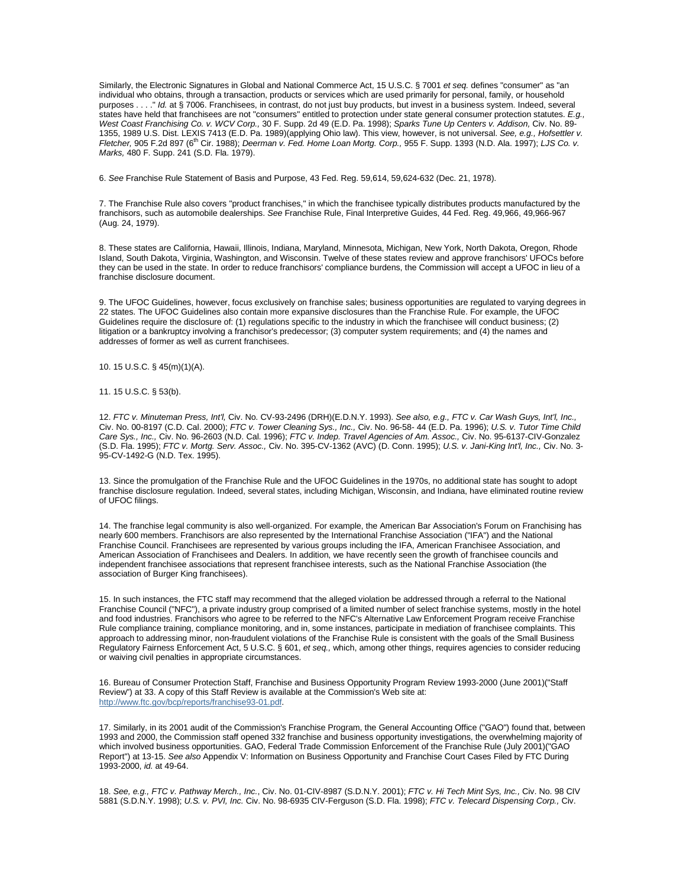Similarly, the Electronic Signatures in Global and National Commerce Act, 15 U.S.C. § 7001 *et seq.* defines "consumer" as "an individual who obtains, through a transaction, products or services which are used primarily for personal, family, or household purposes . . . ." *Id.* at § 7006. Franchisees, in contrast, do not just buy products, but invest in a business system. Indeed, several states have held that franchisees are not "consumers" entitled to protection under state general consumer protection statutes. *E.g., West Coast Franchising Co. v. WCV Corp.,* 30 F. Supp. 2d 49 (E.D. Pa. 1998); *Sparks Tune Up Centers v. Addison,* Civ. No. 89- 1355, 1989 U.S. Dist. LEXIS 7413 (E.D. Pa. 1989)(applying Ohio law). This view, however, is not universal. *See, e.g., Hofsettler v. Fletcher,* 905 F.2d 897 (6th Cir. 1988); *Deerman v. Fed. Home Loan Mortg. Corp.,* 955 F. Supp. 1393 (N.D. Ala. 1997); *LJS Co. v. Marks,* 480 F. Supp. 241 (S.D. Fla. 1979).

6. *See* Franchise Rule Statement of Basis and Purpose, 43 Fed. Reg. 59,614, 59,624-632 (Dec. 21, 1978).

7. The Franchise Rule also covers "product franchises," in which the franchisee typically distributes products manufactured by the franchisors, such as automobile dealerships. *See* Franchise Rule, Final Interpretive Guides, 44 Fed. Reg. 49,966, 49,966-967 (Aug. 24, 1979).

8. These states are California, Hawaii, Illinois, Indiana, Maryland, Minnesota, Michigan, New York, North Dakota, Oregon, Rhode Island, South Dakota, Virginia, Washington, and Wisconsin. Twelve of these states review and approve franchisors' UFOCs before they can be used in the state. In order to reduce franchisors' compliance burdens, the Commission will accept a UFOC in lieu of a franchise disclosure document.

9. The UFOC Guidelines, however, focus exclusively on franchise sales; business opportunities are regulated to varying degrees in 22 states. The UFOC Guidelines also contain more expansive disclosures than the Franchise Rule. For example, the UFOC Guidelines require the disclosure of: (1) regulations specific to the industry in which the franchisee will conduct business; (2) litigation or a bankruptcy involving a franchisor's predecessor; (3) computer system requirements; and (4) the names and addresses of former as well as current franchisees.

10. 15 U.S.C. § 45(m)(1)(A).

11. 15 U.S.C. § 53(b).

12. *FTC v. Minuteman Press, Int'l,* Civ. No. CV-93-2496 (DRH)(E.D.N.Y. 1993). *See also, e.g., FTC v. Car Wash Guys, Int'l, Inc.,*  Civ. No. 00-8197 (C.D. Cal. 2000); *FTC v. Tower Cleaning Sys., Inc.,* Civ. No. 96-58- 44 (E.D. Pa. 1996); *U.S. v. Tutor Time Child Care Sys., Inc.,* Civ. No. 96-2603 (N.D. Cal. 1996); *FTC v. Indep. Travel Agencies of Am. Assoc.,* Civ. No. 95-6137-CIV-Gonzalez (S.D. Fla. 1995); *FTC v. Mortg. Serv. Assoc.,* Civ. No. 395-CV-1362 (AVC) (D. Conn. 1995); *U.S. v. Jani-King Int'l, Inc.,* Civ. No. 3- 95-CV-1492-G (N.D. Tex. 1995).

13. Since the promulgation of the Franchise Rule and the UFOC Guidelines in the 1970s, no additional state has sought to adopt franchise disclosure regulation. Indeed, several states, including Michigan, Wisconsin, and Indiana, have eliminated routine review of UFOC filings.

14. The franchise legal community is also well-organized. For example, the American Bar Association's Forum on Franchising has nearly 600 members. Franchisors are also represented by the International Franchise Association ("IFA") and the National Franchise Council. Franchisees are represented by various groups including the IFA, American Franchisee Association, and American Association of Franchisees and Dealers. In addition, we have recently seen the growth of franchisee councils and independent franchisee associations that represent franchisee interests, such as the National Franchise Association (the association of Burger King franchisees).

15. In such instances, the FTC staff may recommend that the alleged violation be addressed through a referral to the National Franchise Council ("NFC"), a private industry group comprised of a limited number of select franchise systems, mostly in the hotel and food industries. Franchisors who agree to be referred to the NFC's Alternative Law Enforcement Program receive Franchise Rule compliance training, compliance monitoring, and in, some instances, participate in mediation of franchisee complaints. This approach to addressing minor, non-fraudulent violations of the Franchise Rule is consistent with the goals of the Small Business Regulatory Fairness Enforcement Act, 5 U.S.C. § 601, *et seq.,* which, among other things, requires agencies to consider reducing or waiving civil penalties in appropriate circumstances.

16. Bureau of Consumer Protection Staff, Franchise and Business Opportunity Program Review 1993-2000 (June 2001)("Staff Review") at 33. A copy of this Staff Review is available at the Commission's Web site at: [http://www.ftc.gov/bcp/reports/franchise93-01.pdf.](http://www.ftc.gov/bcp/reports/franchise93-01.pdf) 

17. Similarly, in its 2001 audit of the Commission's Franchise Program, the General Accounting Office ("GAO") found that, between 1993 and 2000, the Commission staff opened 332 franchise and business opportunity investigations, the overwhelming majority of which involved business opportunities. GAO, Federal Trade Commission Enforcement of the Franchise Rule (July 2001)("GAO Report") at 13-15. *See also* Appendix V: Information on Business Opportunity and Franchise Court Cases Filed by FTC During 1993-2000, *id.* at 49-64.

18. *See, e.g., FTC v. Pathway Merch., Inc.*, Civ. No. 01-CIV-8987 (S.D.N.Y. 2001); *FTC v. Hi Tech Mint Sys, Inc.,* Civ. No. 98 CIV 5881 (S.D.N.Y. 1998); *U.S. v. PVI, Inc.* Civ. No. 98-6935 CIV-Ferguson (S.D. Fla. 1998); *FTC v. Telecard Dispensing Corp.,* Civ.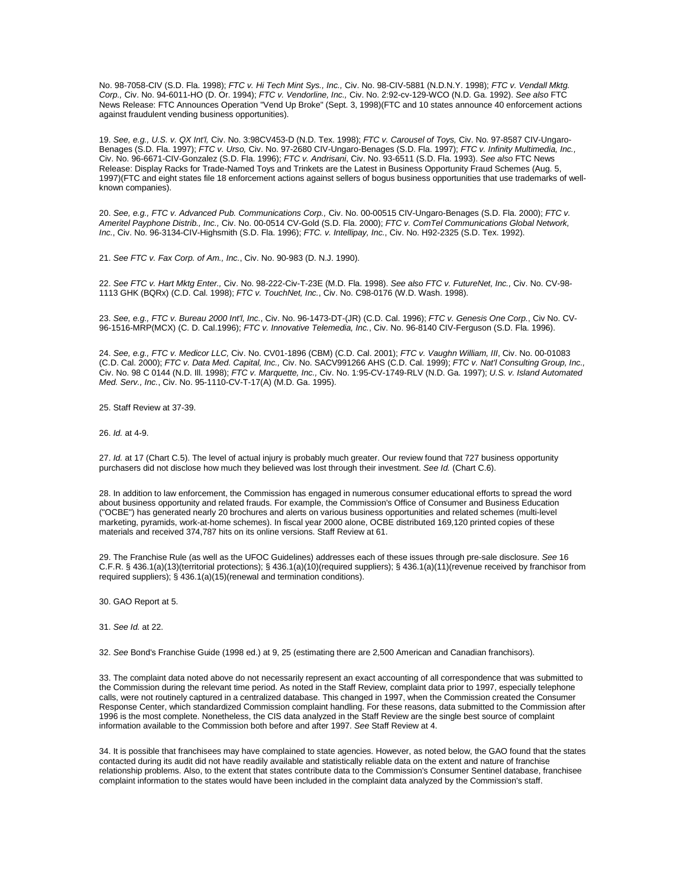No. 98-7058-CIV (S.D. Fla. 1998); *FTC v. Hi Tech Mint Sys., Inc.,* Civ. No. 98-CIV-5881 (N.D.N.Y. 1998); *FTC v. Vendall Mktg. Corp.,* Civ. No. 94-6011-HO (D. Or. 1994); *FTC v. Vendorline, Inc.,* Civ. No. 2:92-cv-129-WCO (N.D. Ga. 1992). *See also* FTC News Release: FTC Announces Operation "Vend Up Broke" (Sept. 3, 1998)(FTC and 10 states announce 40 enforcement actions against fraudulent vending business opportunities).

19. *See, e.g., U.S. v. QX Int'l,* Civ. No. 3:98CV453-D (N.D. Tex. 1998); *FTC v. Carousel of Toys,* Civ. No. 97-8587 CIV-Ungaro-Benages (S.D. Fla. 1997); *FTC v. Urso,* Civ. No. 97-2680 CIV-Ungaro-Benages (S.D. Fla. 1997); *FTC v. Infinity Multimedia, Inc.,*  Civ. No. 96-6671-CIV-Gonzalez (S.D. Fla. 1996); *FTC v. Andrisani*, Civ. No. 93-6511 (S.D. Fla. 1993). *See also* FTC News Release: Display Racks for Trade-Named Toys and Trinkets are the Latest in Business Opportunity Fraud Schemes (Aug. 5, 1997)(FTC and eight states file 18 enforcement actions against sellers of bogus business opportunities that use trademarks of wellknown companies).

20. *See, e.g., FTC v. Advanced Pub. Communications Corp.,* Civ. No. 00-00515 CIV-Ungaro-Benages (S.D. Fla. 2000); *FTC v. Ameritel Payphone Distrib., Inc.,* Civ. No. 00-0514 CV-Gold (S.D. Fla. 2000); *FTC v. ComTel Communications Global Network, Inc.*, Civ. No. 96-3134-CIV-Highsmith (S.D. Fla. 1996); *FTC. v. Intellipay, Inc.*, Civ. No. H92-2325 (S.D. Tex. 1992).

21. *See FTC v. Fax Corp. of Am., Inc.*, Civ. No. 90-983 (D. N.J. 1990).

22. *See FTC v. Hart Mktg Enter.,* Civ. No. 98-222-Civ-T-23E (M.D. Fla. 1998). *See also FTC v. FutureNet, Inc.,* Civ. No. CV-98- 1113 GHK (BQRx) (C.D. Cal. 1998); *FTC v. TouchNet, Inc.*, Civ. No. C98-0176 (W.D. Wash. 1998).

23. *See, e.g., FTC v. Bureau 2000 Int'l, Inc.*, Civ. No. 96-1473-DT-(JR) (C.D. Cal. 1996); *FTC v. Genesis One Corp.*, Civ No. CV-96-1516-MRP(MCX) (C. D. Cal.1996); *FTC v. Innovative Telemedia, Inc.*, Civ. No. 96-8140 CIV-Ferguson (S.D. Fla. 1996).

24. *See, e.g., FTC v. Medicor LLC,* Civ. No. CV01-1896 (CBM) (C.D. Cal. 2001); *FTC v. Vaughn William, III*, Civ. No. 00-01083 (C.D. Cal. 2000); *FTC v. Data Med. Capital, Inc.,* Civ. No. SACV991266 AHS (C.D. Cal. 1999); *FTC v. Nat'l Consulting Group, Inc.,*  Civ. No. 98 C 0144 (N.D. Ill. 1998); *FTC v. Marquette, Inc.,* Civ. No. 1:95-CV-1749-RLV (N.D. Ga. 1997); *U.S. v. Island Automated Med. Serv., Inc.*, Civ. No. 95-1110-CV-T-17(A) (M.D. Ga. 1995).

25. Staff Review at 37-39.

26. *Id.* at 4-9.

27. *Id.* at 17 (Chart C.5). The level of actual injury is probably much greater. Our review found that 727 business opportunity purchasers did not disclose how much they believed was lost through their investment. *See Id.* (Chart C.6).

28. In addition to law enforcement, the Commission has engaged in numerous consumer educational efforts to spread the word about business opportunity and related frauds. For example, the Commission's Office of Consumer and Business Education ("OCBE") has generated nearly 20 brochures and alerts on various business opportunities and related schemes (multi-level marketing, pyramids, work-at-home schemes). In fiscal year 2000 alone, OCBE distributed 169,120 printed copies of these materials and received 374,787 hits on its online versions. Staff Review at 61.

29. The Franchise Rule (as well as the UFOC Guidelines) addresses each of these issues through pre-sale disclosure. *See* 16 C.F.R. § 436.1(a)(13)(territorial protections); § 436.1(a)(10)(required suppliers); § 436.1(a)(11)(revenue received by franchisor from required suppliers); § 436.1(a)(15)(renewal and termination conditions).

30. GAO Report at 5.

31. *See Id.* at 22.

32. *See* Bond's Franchise Guide (1998 ed.) at 9, 25 (estimating there are 2,500 American and Canadian franchisors).

33. The complaint data noted above do not necessarily represent an exact accounting of all correspondence that was submitted to the Commission during the relevant time period. As noted in the Staff Review, complaint data prior to 1997, especially telephone calls, were not routinely captured in a centralized database. This changed in 1997, when the Commission created the Consumer Response Center, which standardized Commission complaint handling. For these reasons, data submitted to the Commission after 1996 is the most complete. Nonetheless, the CIS data analyzed in the Staff Review are the single best source of complaint information available to the Commission both before and after 1997. *See* Staff Review at 4.

34. It is possible that franchisees may have complained to state agencies. However, as noted below, the GAO found that the states contacted during its audit did not have readily available and statistically reliable data on the extent and nature of franchise relationship problems. Also, to the extent that states contribute data to the Commission's Consumer Sentinel database, franchisee complaint information to the states would have been included in the complaint data analyzed by the Commission's staff.